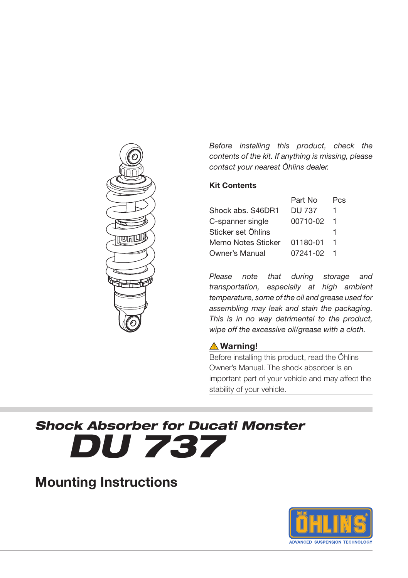

*Before installing this product, check the contents of the kit. If anything is missing, please contact your nearest Öhlins dealer.*

#### **Kit Contents**

|                    | Part No       | Pcs |
|--------------------|---------------|-----|
| Shock abs. S46DR1  | <b>DU 737</b> |     |
| C-spanner single   | 00710-02      |     |
| Sticker set Öhlins |               |     |
| Memo Notes Sticker | 01180-01      |     |
| Owner's Manual     | 07241-02      |     |

*Please note that during storage and transportation, especially at high ambient temperature, some of the oil and grease used for assembling may leak and stain the packaging. This is in no way detrimental to the product, wipe off the excessive oil/grease with a cloth.*

#### **Warning!**

Before installing this product, read the Öhlins Owner's Manual. The shock absorber is an important part of your vehicle and may affect the stability of your vehicle.

# *Shock Absorber for Ducati Monster DU 737*

**Mounting Instructions**

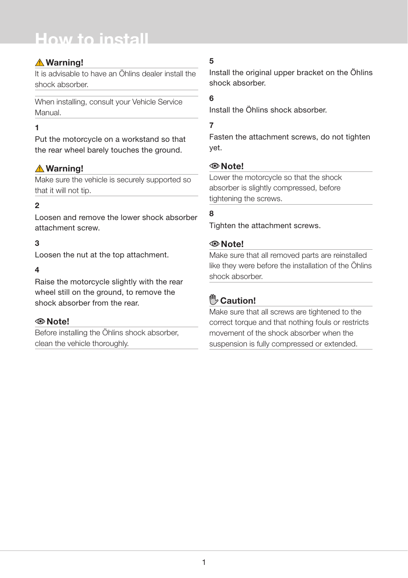# **How to install**

# **Warning!**

It is advisable to have an Öhlins dealer install the shock absorber.

When installing, consult your Vehicle Service Manual.

### **1**

Put the motorcycle on a workstand so that the rear wheel barely touches the ground.

# **Warning!**

Make sure the vehicle is securely supported so that it will not tip.

## **2**

Loosen and remove the lower shock absorber attachment screw.

## **3**

Loosen the nut at the top attachment.

#### **4**

Raise the motorcycle slightly with the rear wheel still on the ground, to remove the shock absorber from the rear.

## **Note!**

Before installing the Öhlins shock absorber, clean the vehicle thoroughly.

# **5**

Install the original upper bracket on the Öhlins shock absorber.

# **6**

Install the Öhlins shock absorber.

# **7**

Fasten the attachment screws, do not tighten yet.

#### **Note!**

Lower the motorcycle so that the shock absorber is slightly compressed, before tightening the screws.

# **8**

Tighten the attachment screws.

#### **Note!**

Make sure that all removed parts are reinstalled like they were before the installation of the Öhlins shock absorber.

# **Caution!**

Make sure that all screws are tightened to the correct torque and that nothing fouls or restricts movement of the shock absorber when the suspension is fully compressed or extended.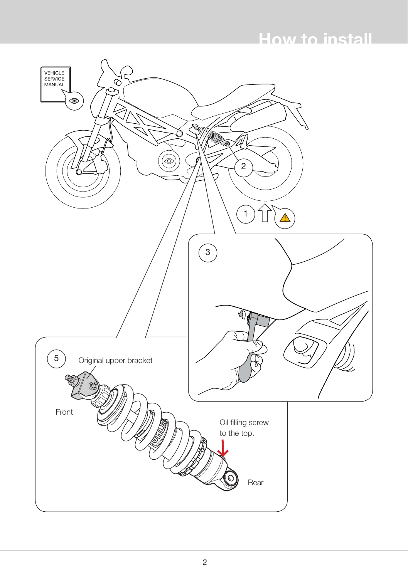# **How to install**